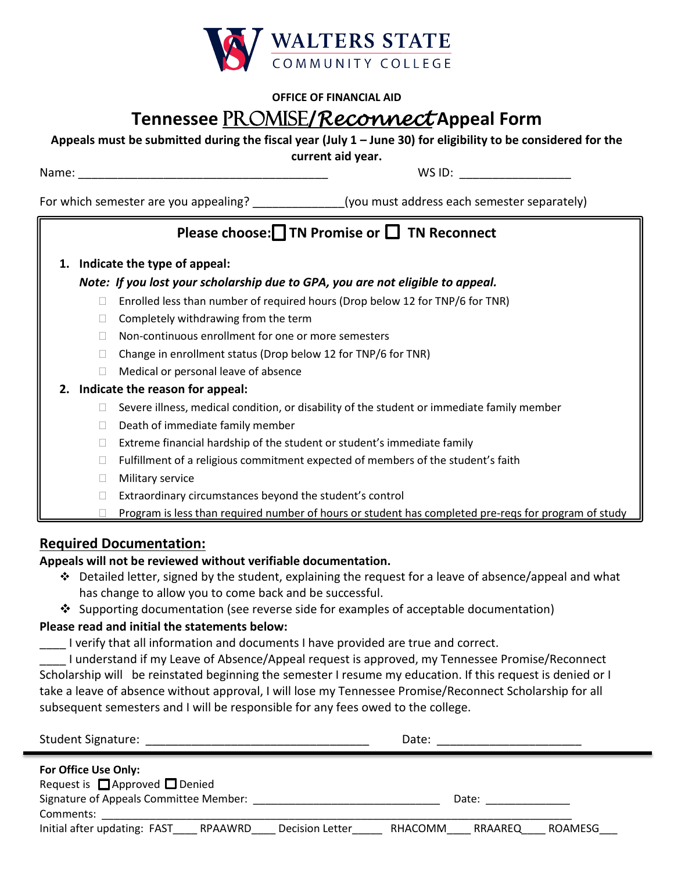

#### **OFFICE OF FINANCIAL AID**

## **Tennessee** Promise**/***Reconnect* **Appeal Form**

#### **Appeals must be submitted during the fiscal year (July 1 – June 30) for eligibility to be considered for the**

**current aid year.**

Name: \_\_\_\_\_\_\_\_\_\_\_\_\_\_\_\_\_\_\_\_\_\_\_\_\_\_\_\_\_\_\_\_\_\_\_\_\_\_ WS ID: \_\_\_\_\_\_\_\_\_\_\_\_\_\_\_\_\_

For which semester are you appealing? \_\_\_\_\_\_\_\_\_\_\_\_\_\_\_(you must address each semester separately)

### Please choose:**□ TN Promise or □ TN Reconnect**

#### **1. Indicate the type of appeal:**

#### *Note: If you lost your scholarship due to GPA, you are not eligible to appeal.*

- $\Box$  Enrolled less than number of required hours (Drop below 12 for TNP/6 for TNR)
- $\Box$  Completely withdrawing from the term
- □ Non-continuous enrollment for one or more semesters
- $\Box$  Change in enrollment status (Drop below 12 for TNP/6 for TNR)
- $\Box$  Medical or personal leave of absence
- **2. Indicate the reason for appeal:**
	- $\Box$  Severe illness, medical condition, or disability of the student or immediate family member
	- $\Box$  Death of immediate family member
	- $\Box$  Extreme financial hardship of the student or student's immediate family
	- $\Box$  Fulfillment of a religious commitment expected of members of the student's faith
	- **Nilitary service**
	- $\Box$  Extraordinary circumstances beyond the student's control
	- $\Box$  Program is less than required number of hours or student has completed pre-reqs for program of study

#### **Required Documentation:**

#### **Appeals will not be reviewed without verifiable documentation.**

- $\div$  Detailed letter, signed by the student, explaining the request for a leave of absence/appeal and what has change to allow you to come back and be successful.
- $\clubsuit$  Supporting documentation (see reverse side for examples of acceptable documentation)

#### **Please read and initial the statements below:**

\_\_\_\_ I verify that all information and documents I have provided are true and correct.

I understand if my Leave of Absence/Appeal request is approved, my Tennessee Promise/Reconnect Scholarship will be reinstated beginning the semester I resume my education. If this request is denied or I take a leave of absence without approval, I will lose my Tennessee Promise/Reconnect Scholarship for all subsequent semesters and I will be responsible for any fees owed to the college.

| <b>Student Signature:</b>                                                                                                                                                          | Date:                                  |
|------------------------------------------------------------------------------------------------------------------------------------------------------------------------------------|----------------------------------------|
| For Office Use Only:<br>Request is $\Box$ Approved $\Box$ Denied<br>Signature of Appeals Committee Member:<br>Comments:<br>Initial after updating: FAST RPAAWRD<br>Decision Letter | Date:<br>ROAMESG<br>RRAAREQ<br>RHACOMM |